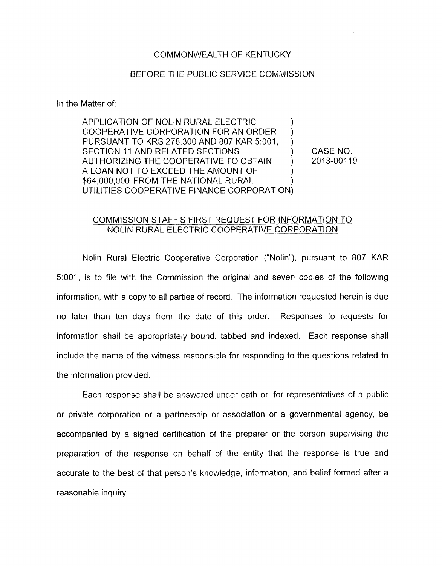## COMMONWEALTH OF KENTUCKY

## BEFORE THE PUBLIC SERVICE COMMISSION

In the Matter of:

APPLICATION OF NOLIN RURAL ELECTRIC COOPERATIVE CORPORATION FOR AN ORDER PURSUANT TO KRS 278.300 AND 807 KAR 5:001, SECTION 11 AND RELATED SECTIONS  $(3.502)$  CASE NO. AUTHORIZING THE COOPERATIVE TO OBTAIN (2013-00119) A LOAN NOT TO EXCEED THE AMOUNT OF \$64,000,000 FROM THE NATIONAL RURAL UTILITIES COOPERATIVE FINANCE CORPORATION)  $\sum_{i=1}^{n}$ ) )

## COMMISSION STAFF'S FIRST REQUEST FOR INFORMATION TO NOLIN RURAL ELECTRIC COOPERATIVE CORPORATION

Nolin Rural Electric Cooperative Corporation ("Nolin"), pursuant to 807 KAR 51001, is to file with the Commission the original and seven copies of the following information, with a copy to all patties of record. The information requested herein is due no later than ten days from the date of this order. Responses to requests for information shall be appropriately bound, tabbed and indexed. Each response shall include the name of the witness responsible for responding to the questions related to the information provided.

Each response shall be answered under oath or, for representatives of a public or private corporation or a partnership or association or a governmental agency, be accompanied by a signed certification of the preparer or the person supervising the preparation of the response on behalf of the entity that the response is true and accurate to the best of that person's knowledge, information, and belief formed after a reasonable inquiry.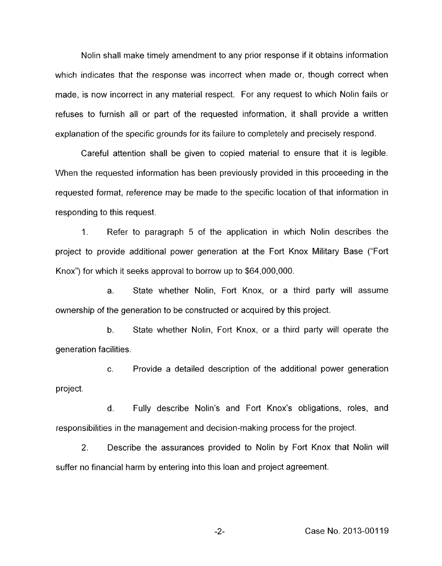Nolin shall make timely amendment to any prior response if it obtains information which indicates that the response was incorrect when made or, though correct when made, is now incorrect in any material respect. For any request to which Nolin fails or refuses to furnish all or part of the requested information, it shall provide a written explanation of the specific grounds for its failure to completely and precisely respond.

Careful attention shall be given to copied material to ensure that it is legible. When the requested information has been previously provided in this proceeding in the requested format, reference may be made to the specific location of that information in responding to this request.

1. Refer to paragraph *5* of the application in which Nolin describes the project to provide additional power generation at the Fort Knox Military Base ("Fort Knox") for which it seeks approval to borrow up to \$64,000,000.

a. State whether Nolin, Fort Knox, or a third party will assume ownership of the generation to be constructed or acquired by this project.

b. State whether Noiin, Fort Knox, or a third party will operate the generation facilities.

c. Provide a detailed description of the additional power generation project.

d. Fully describe Nolin's and Fort Knox's obligations, roles, and responsibilities in the management and decision-making process for the project.

2. Describe the assurances provided to Nolin by Fort Knox that Nolin will suffer no financial harm by entering into this loan and project agreement.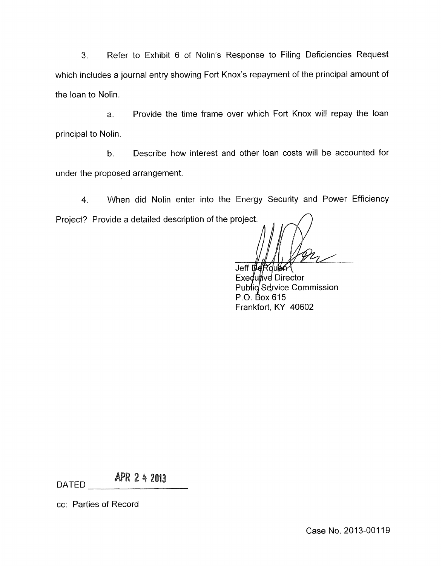**3.** Refer to Exhibit 6 of Nolin's Response to Filing Deficiencies Request which includes a journal entry showing Fort Knox's repayment of the principal amount of the loan to Nolin.

a. Provide the time frame over which Fort Knox will repay the loan principal to Nolin.

b. Describe how interest and other loan costs will be accounted for under the proposed arrangement.

**4.** When did Nolin enter into the Energy Security and Power Efficiency Project? Provide a detailed description of the project.

Jeff DeRough

Exedulive Director Public Service Commission P.O. Box 615 Frankfort, KY 40602

**APR 2 4 2013** 

cc: Parties of Record